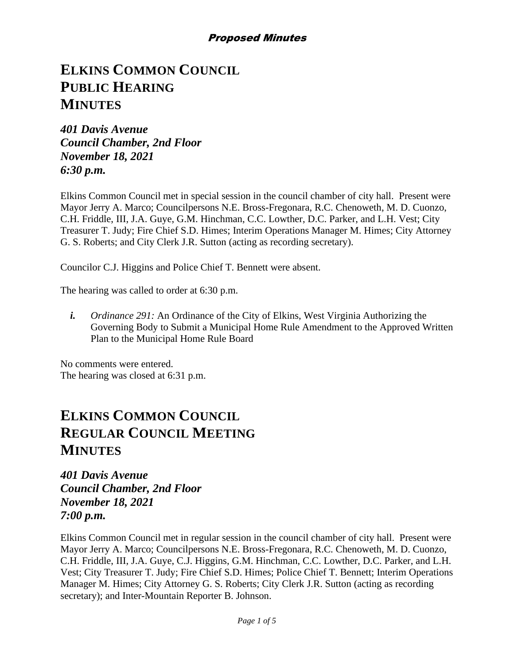# **ELKINS COMMON COUNCIL PUBLIC HEARING MINUTES**

*401 Davis Avenue Council Chamber, 2nd Floor November 18, 2021 6:30 p.m.*

Elkins Common Council met in special session in the council chamber of city hall. Present were Mayor Jerry A. Marco; Councilpersons N.E. Bross-Fregonara, R.C. Chenoweth, M. D. Cuonzo, C.H. Friddle, III, J.A. Guye, G.M. Hinchman, C.C. Lowther, D.C. Parker, and L.H. Vest; City Treasurer T. Judy; Fire Chief S.D. Himes; Interim Operations Manager M. Himes; City Attorney G. S. Roberts; and City Clerk J.R. Sutton (acting as recording secretary).

Councilor C.J. Higgins and Police Chief T. Bennett were absent.

The hearing was called to order at 6:30 p.m.

*i. Ordinance 291:* An Ordinance of the City of Elkins, West Virginia Authorizing the Governing Body to Submit a Municipal Home Rule Amendment to the Approved Written Plan to the Municipal Home Rule Board

No comments were entered. The hearing was closed at 6:31 p.m.

# **ELKINS COMMON COUNCIL REGULAR COUNCIL MEETING MINUTES**

*401 Davis Avenue Council Chamber, 2nd Floor November 18, 2021 7:00 p.m.*

Elkins Common Council met in regular session in the council chamber of city hall. Present were Mayor Jerry A. Marco; Councilpersons N.E. Bross-Fregonara, R.C. Chenoweth, M. D. Cuonzo, C.H. Friddle, III, J.A. Guye, C.J. Higgins, G.M. Hinchman, C.C. Lowther, D.C. Parker, and L.H. Vest; City Treasurer T. Judy; Fire Chief S.D. Himes; Police Chief T. Bennett; Interim Operations Manager M. Himes; City Attorney G. S. Roberts; City Clerk J.R. Sutton (acting as recording secretary); and Inter-Mountain Reporter B. Johnson.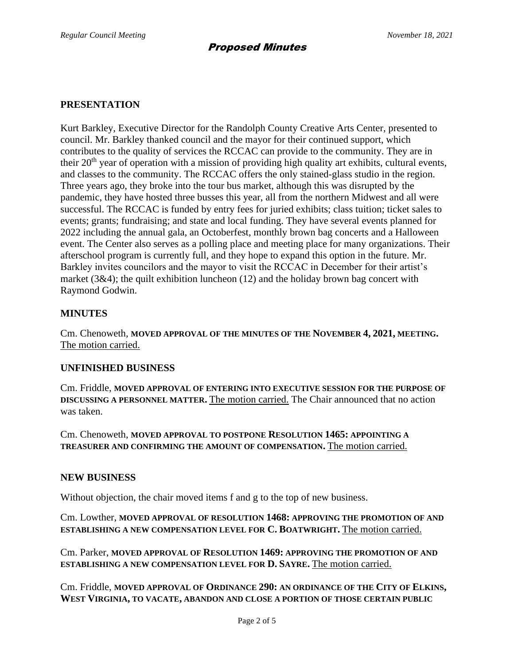#### **PRESENTATION**

Kurt Barkley, Executive Director for the Randolph County Creative Arts Center, presented to council. Mr. Barkley thanked council and the mayor for their continued support, which contributes to the quality of services the RCCAC can provide to the community. They are in their 20<sup>th</sup> year of operation with a mission of providing high quality art exhibits, cultural events, and classes to the community. The RCCAC offers the only stained-glass studio in the region. Three years ago, they broke into the tour bus market, although this was disrupted by the pandemic, they have hosted three busses this year, all from the northern Midwest and all were successful. The RCCAC is funded by entry fees for juried exhibits; class tuition; ticket sales to events; grants; fundraising; and state and local funding. They have several events planned for 2022 including the annual gala, an Octoberfest, monthly brown bag concerts and a Halloween event. The Center also serves as a polling place and meeting place for many organizations. Their afterschool program is currently full, and they hope to expand this option in the future. Mr. Barkley invites councilors and the mayor to visit the RCCAC in December for their artist's market (3&4); the quilt exhibition luncheon (12) and the holiday brown bag concert with Raymond Godwin.

## **MINUTES**

Cm. Chenoweth, **MOVED APPROVAL OF THE MINUTES OF THE NOVEMBER 4, 2021, MEETING.** The motion carried.

## **UNFINISHED BUSINESS**

Cm. Friddle, **MOVED APPROVAL OF ENTERING INTO EXECUTIVE SESSION FOR THE PURPOSE OF DISCUSSING A PERSONNEL MATTER.** The motion carried. The Chair announced that no action was taken.

Cm. Chenoweth, **MOVED APPROVAL TO POSTPONE RESOLUTION 1465: APPOINTING A TREASURER AND CONFIRMING THE AMOUNT OF COMPENSATION.** The motion carried.

#### **NEW BUSINESS**

Without objection, the chair moved items f and g to the top of new business.

Cm. Lowther, **MOVED APPROVAL OF RESOLUTION 1468: APPROVING THE PROMOTION OF AND ESTABLISHING A NEW COMPENSATION LEVEL FOR C. BOATWRIGHT.** The motion carried.

Cm. Parker, **MOVED APPROVAL OF RESOLUTION 1469: APPROVING THE PROMOTION OF AND ESTABLISHING A NEW COMPENSATION LEVEL FOR D. SAYRE.** The motion carried.

Cm. Friddle, **MOVED APPROVAL OF ORDINANCE 290: AN ORDINANCE OF THE CITY OF ELKINS, WEST VIRGINIA, TO VACATE, ABANDON AND CLOSE A PORTION OF THOSE CERTAIN PUBLIC**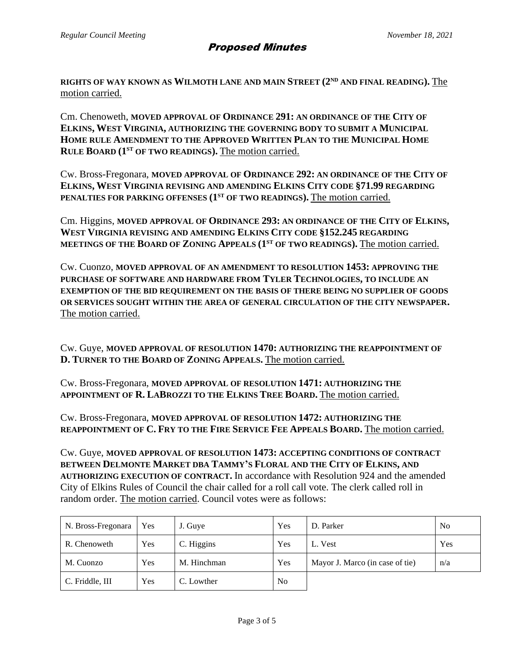**RIGHTS OF WAY KNOWN AS WILMOTH LANE AND MAIN STREET (2ND AND FINAL READING).** The motion carried.

Cm. Chenoweth, **MOVED APPROVAL OF ORDINANCE 291: AN ORDINANCE OF THE CITY OF ELKINS, WEST VIRGINIA, AUTHORIZING THE GOVERNING BODY TO SUBMIT A MUNICIPAL HOME RULE AMENDMENT TO THE APPROVED WRITTEN PLAN TO THE MUNICIPAL HOME RULE BOARD (1ST OF TWO READINGS).** The motion carried.

Cw. Bross-Fregonara, **MOVED APPROVAL OF ORDINANCE 292: AN ORDINANCE OF THE CITY OF ELKINS, WEST VIRGINIA REVISING AND AMENDING ELKINS CITY CODE §71.99 REGARDING PENALTIES FOR PARKING OFFENSES (1ST OF TWO READINGS).** The motion carried.

Cm. Higgins, **MOVED APPROVAL OF ORDINANCE 293: AN ORDINANCE OF THE CITY OF ELKINS, WEST VIRGINIA REVISING AND AMENDING ELKINS CITY CODE §152.245 REGARDING MEETINGS OF THE BOARD OF ZONING APPEALS (1ST OF TWO READINGS).** The motion carried.

Cw. Cuonzo, **MOVED APPROVAL OF AN AMENDMENT TO RESOLUTION 1453: APPROVING THE PURCHASE OF SOFTWARE AND HARDWARE FROM TYLER TECHNOLOGIES, TO INCLUDE AN EXEMPTION OF THE BID REQUIREMENT ON THE BASIS OF THERE BEING NO SUPPLIER OF GOODS OR SERVICES SOUGHT WITHIN THE AREA OF GENERAL CIRCULATION OF THE CITY NEWSPAPER.** The motion carried.

Cw. Guye, **MOVED APPROVAL OF RESOLUTION 1470: AUTHORIZING THE REAPPOINTMENT OF D. TURNER TO THE BOARD OF ZONING APPEALS.** The motion carried.

Cw. Bross-Fregonara, **MOVED APPROVAL OF RESOLUTION 1471: AUTHORIZING THE APPOINTMENT OF R. LABROZZI TO THE ELKINS TREE BOARD.** The motion carried.

Cw. Bross-Fregonara, **MOVED APPROVAL OF RESOLUTION 1472: AUTHORIZING THE REAPPOINTMENT OF C. FRY TO THE FIRE SERVICE FEE APPEALS BOARD.** The motion carried.

Cw. Guye, **MOVED APPROVAL OF RESOLUTION 1473: ACCEPTING CONDITIONS OF CONTRACT BETWEEN DELMONTE MARKET DBA TAMMY'S FLORAL AND THE CITY OF ELKINS, AND AUTHORIZING EXECUTION OF CONTRACT.** In accordance with Resolution 924 and the amended City of Elkins Rules of Council the chair called for a roll call vote. The clerk called roll in random order. The motion carried. Council votes were as follows:

| N. Bross-Fregonara | Yes | J. Guye     | Yes            | D. Parker                       | N <sub>0</sub> |
|--------------------|-----|-------------|----------------|---------------------------------|----------------|
| R. Chenoweth       | Yes | C. Higgins  | Yes            | L. Vest                         | Yes            |
| M. Cuonzo          | Yes | M. Hinchman | Yes            | Mayor J. Marco (in case of tie) | n/a            |
| C. Friddle, III    | Yes | C. Lowther  | N <sub>0</sub> |                                 |                |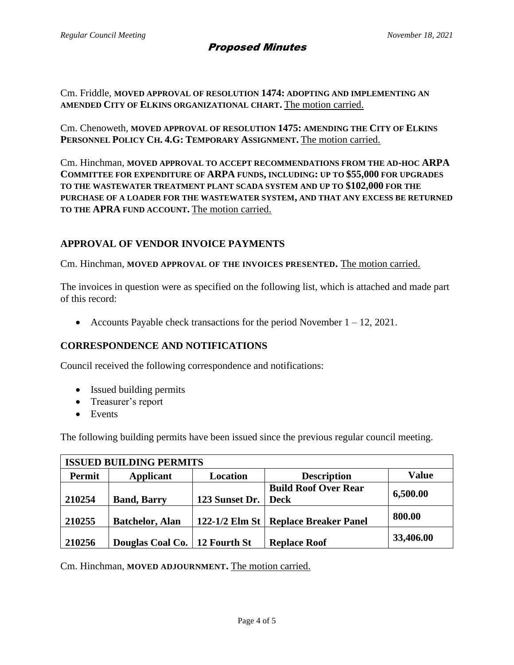## Proposed Minutes

Cm. Friddle, **MOVED APPROVAL OF RESOLUTION 1474: ADOPTING AND IMPLEMENTING AN AMENDED CITY OF ELKINS ORGANIZATIONAL CHART.** The motion carried.

Cm. Chenoweth, **MOVED APPROVAL OF RESOLUTION 1475: AMENDING THE CITY OF ELKINS PERSONNEL POLICY CH. 4.G: TEMPORARY ASSIGNMENT.** The motion carried.

Cm. Hinchman, **MOVED APPROVAL TO ACCEPT RECOMMENDATIONS FROM THE AD-HOC ARPA COMMITTEE FOR EXPENDITURE OF ARPA FUNDS, INCLUDING: UP TO \$55,000 FOR UPGRADES TO THE WASTEWATER TREATMENT PLANT SCADA SYSTEM AND UP TO \$102,000 FOR THE PURCHASE OF A LOADER FOR THE WASTEWATER SYSTEM, AND THAT ANY EXCESS BE RETURNED TO THE APRA FUND ACCOUNT.** The motion carried.

## **APPROVAL OF VENDOR INVOICE PAYMENTS**

Cm. Hinchman, **MOVED APPROVAL OF THE INVOICES PRESENTED.** The motion carried.

The invoices in question were as specified on the following list, which is attached and made part of this record:

• Accounts Payable check transactions for the period November  $1 - 12$ , 2021.

## **CORRESPONDENCE AND NOTIFICATIONS**

Council received the following correspondence and notifications:

- Issued building permits
- Treasurer's report
- Events

The following building permits have been issued since the previous regular council meeting.

| <b>ISSUED BUILDING PERMITS</b> |                                 |                |                                        |              |  |  |  |  |
|--------------------------------|---------------------------------|----------------|----------------------------------------|--------------|--|--|--|--|
| Permit                         | Applicant                       | Location       | <b>Description</b>                     | <b>Value</b> |  |  |  |  |
| 210254                         | <b>Band, Barry</b>              | 123 Sunset Dr. | <b>Build Roof Over Rear</b><br>  Deck  | 6,500.00     |  |  |  |  |
| 210255                         | <b>Batchelor, Alan</b>          |                | 122-1/2 Elm St   Replace Breaker Panel | 800.00       |  |  |  |  |
| 210256                         | Douglas Coal Co.   12 Fourth St |                | <b>Replace Roof</b>                    | 33,406.00    |  |  |  |  |

Cm. Hinchman, **MOVED ADJOURNMENT.** The motion carried.